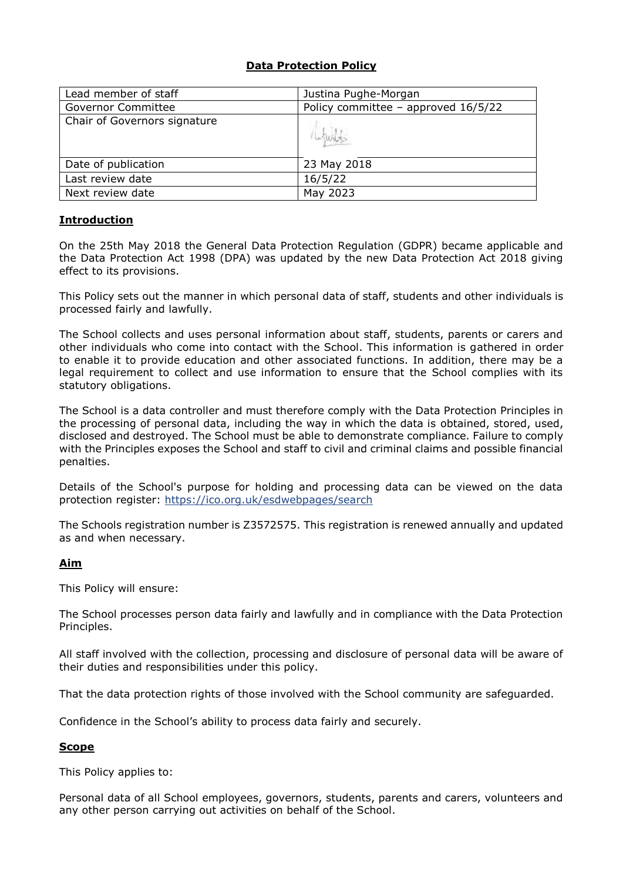# **Data Protection Policy**

| Lead member of staff         | Justina Pughe-Morgan                  |
|------------------------------|---------------------------------------|
| <b>Governor Committee</b>    | Policy committee - approved $16/5/22$ |
| Chair of Governors signature |                                       |
| Date of publication          | 23 May 2018                           |
| Last review date             | 16/5/22                               |
| Next review date             | May 2023                              |

# **Introduction**

On the 25th May 2018 the General Data Protection Regulation (GDPR) became applicable and the Data Protection Act 1998 (DPA) was updated by the new Data Protection Act 2018 giving effect to its provisions.

This Policy sets out the manner in which personal data of staff, students and other individuals is processed fairly and lawfully.

The School collects and uses personal information about staff, students, parents or carers and other individuals who come into contact with the School. This information is gathered in order to enable it to provide education and other associated functions. In addition, there may be a legal requirement to collect and use information to ensure that the School complies with its statutory obligations.

The School is a data controller and must therefore comply with the Data Protection Principles in the processing of personal data, including the way in which the data is obtained, stored, used, disclosed and destroyed. The School must be able to demonstrate compliance. Failure to comply with the Principles exposes the School and staff to civil and criminal claims and possible financial penalties.

Details of the School's purpose for holding and processing data can be viewed on the data protection register:<https://ico.org.uk/esdwebpages/search>

The Schools registration number is Z3572575. This registration is renewed annually and updated as and when necessary.

#### **Aim**

This Policy will ensure:

The School processes person data fairly and lawfully and in compliance with the Data Protection Principles.

All staff involved with the collection, processing and disclosure of personal data will be aware of their duties and responsibilities under this policy.

That the data protection rights of those involved with the School community are safeguarded.

Confidence in the School's ability to process data fairly and securely.

#### **Scope**

This Policy applies to:

Personal data of all School employees, governors, students, parents and carers, volunteers and any other person carrying out activities on behalf of the School.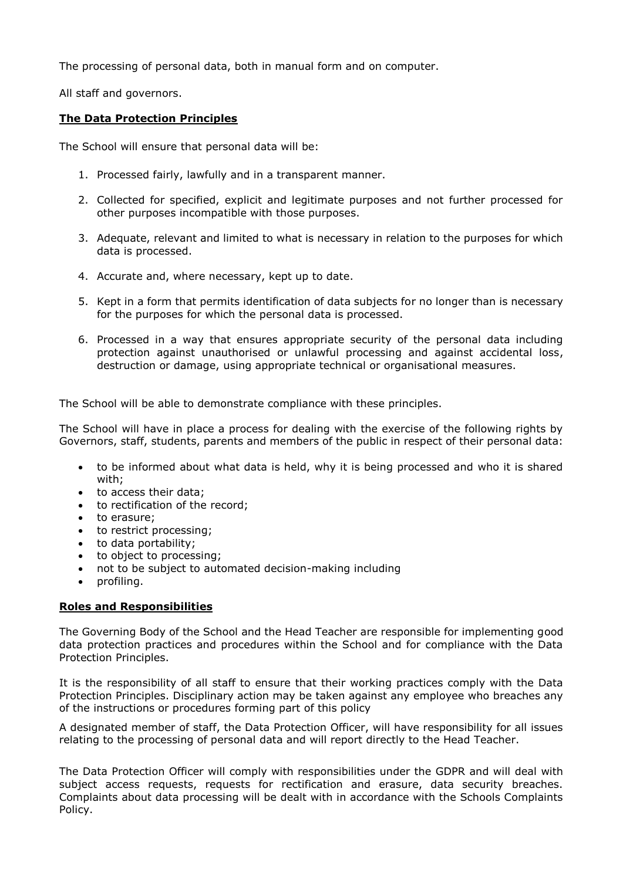The processing of personal data, both in manual form and on computer.

All staff and governors.

## **The Data Protection Principles**

The School will ensure that personal data will be:

- 1. Processed fairly, lawfully and in a transparent manner.
- 2. Collected for specified, explicit and legitimate purposes and not further processed for other purposes incompatible with those purposes.
- 3. Adequate, relevant and limited to what is necessary in relation to the purposes for which data is processed.
- 4. Accurate and, where necessary, kept up to date.
- 5. Kept in a form that permits identification of data subjects for no longer than is necessary for the purposes for which the personal data is processed.
- 6. Processed in a way that ensures appropriate security of the personal data including protection against unauthorised or unlawful processing and against accidental loss, destruction or damage, using appropriate technical or organisational measures.

The School will be able to demonstrate compliance with these principles.

The School will have in place a process for dealing with the exercise of the following rights by Governors, staff, students, parents and members of the public in respect of their personal data:

- to be informed about what data is held, why it is being processed and who it is shared with;
- to access their data;
- to rectification of the record:
- to erasure:
- to restrict processing;
- to data portability;
- to object to processing;
- not to be subject to automated decision-making including
- profiling.

#### **Roles and Responsibilities**

The Governing Body of the School and the Head Teacher are responsible for implementing good data protection practices and procedures within the School and for compliance with the Data Protection Principles.

It is the responsibility of all staff to ensure that their working practices comply with the Data Protection Principles. Disciplinary action may be taken against any employee who breaches any of the instructions or procedures forming part of this policy

A designated member of staff, the Data Protection Officer, will have responsibility for all issues relating to the processing of personal data and will report directly to the Head Teacher.

The Data Protection Officer will comply with responsibilities under the GDPR and will deal with subject access requests, requests for rectification and erasure, data security breaches. Complaints about data processing will be dealt with in accordance with the Schools Complaints Policy.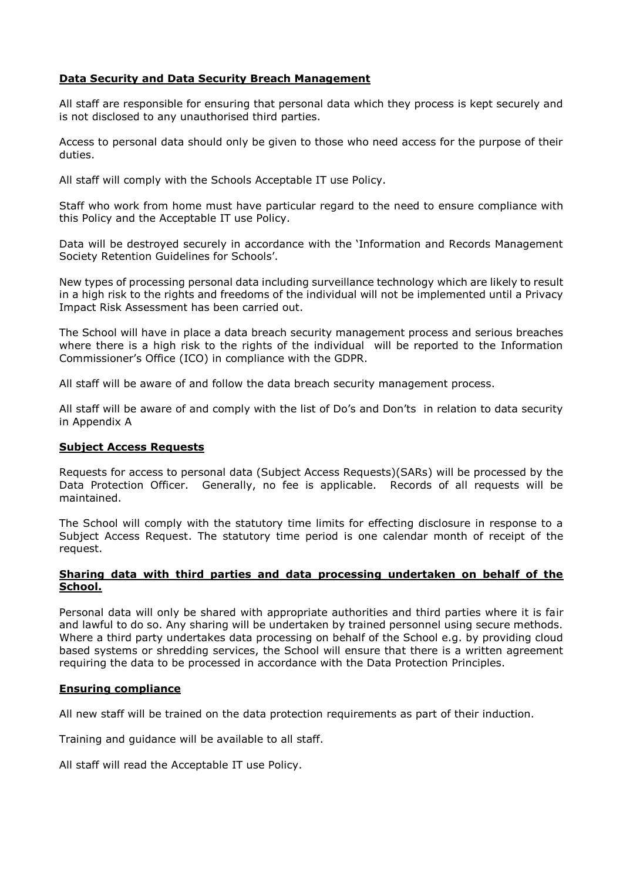# **Data Security and Data Security Breach Management**

All staff are responsible for ensuring that personal data which they process is kept securely and is not disclosed to any unauthorised third parties.

Access to personal data should only be given to those who need access for the purpose of their duties.

All staff will comply with the Schools Acceptable IT use Policy.

Staff who work from home must have particular regard to the need to ensure compliance with this Policy and the Acceptable IT use Policy.

Data will be destroyed securely in accordance with the 'Information and Records Management Society Retention Guidelines for Schools'.

New types of processing personal data including surveillance technology which are likely to result in a high risk to the rights and freedoms of the individual will not be implemented until a Privacy Impact Risk Assessment has been carried out.

The School will have in place a data breach security management process and serious breaches where there is a high risk to the rights of the individual will be reported to the Information Commissioner's Office (ICO) in compliance with the GDPR.

All staff will be aware of and follow the data breach security management process.

All staff will be aware of and comply with the list of Do's and Don'ts in relation to data security in Appendix A

#### **Subject Access Requests**

Requests for access to personal data (Subject Access Requests)(SARs) will be processed by the Data Protection Officer. Generally, no fee is applicable. Records of all requests will be maintained.

The School will comply with the statutory time limits for effecting disclosure in response to a Subject Access Request. The statutory time period is one calendar month of receipt of the request.

#### **Sharing data with third parties and data processing undertaken on behalf of the School.**

Personal data will only be shared with appropriate authorities and third parties where it is fair and lawful to do so. Any sharing will be undertaken by trained personnel using secure methods. Where a third party undertakes data processing on behalf of the School e.g. by providing cloud based systems or shredding services, the School will ensure that there is a written agreement requiring the data to be processed in accordance with the Data Protection Principles.

#### **Ensuring compliance**

All new staff will be trained on the data protection requirements as part of their induction.

Training and guidance will be available to all staff.

All staff will read the Acceptable IT use Policy.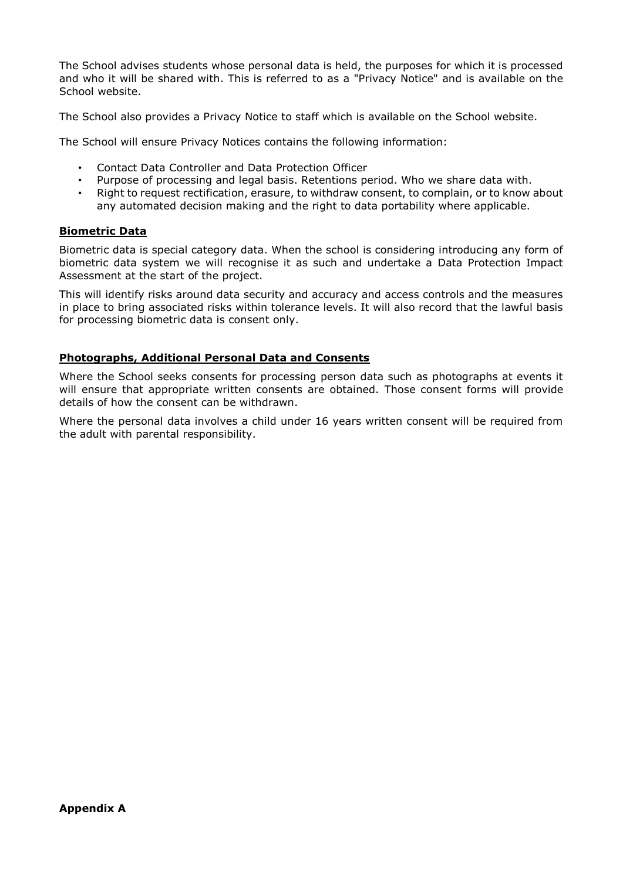The School advises students whose personal data is held, the purposes for which it is processed and who it will be shared with. This is referred to as a "Privacy Notice" and is available on the School website.

The School also provides a Privacy Notice to staff which is available on the School website.

The School will ensure Privacy Notices contains the following information:

- Contact Data Controller and Data Protection Officer
- Purpose of processing and legal basis. Retentions period. Who we share data with.
- Right to request rectification, erasure, to withdraw consent, to complain, or to know about any automated decision making and the right to data portability where applicable.

### **Biometric Data**

Biometric data is special category data. When the school is considering introducing any form of biometric data system we will recognise it as such and undertake a Data Protection Impact Assessment at the start of the project.

This will identify risks around data security and accuracy and access controls and the measures in place to bring associated risks within tolerance levels. It will also record that the lawful basis for processing biometric data is consent only.

### **Photographs, Additional Personal Data and Consents**

Where the School seeks consents for processing person data such as photographs at events it will ensure that appropriate written consents are obtained. Those consent forms will provide details of how the consent can be withdrawn.

Where the personal data involves a child under 16 years written consent will be required from the adult with parental responsibility.